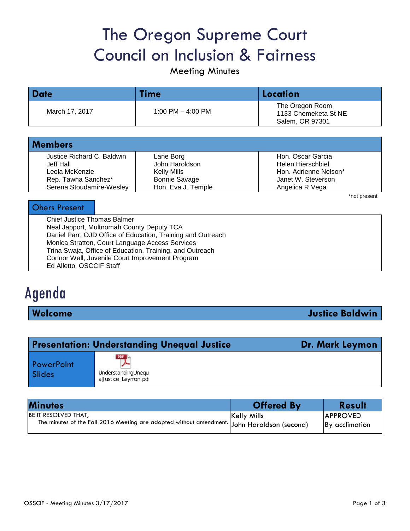# The Oregon Supreme Court Council on Inclusion & Fairness

Meeting Minutes

| <b>Date</b>    | Time                | Location                                                   |  |
|----------------|---------------------|------------------------------------------------------------|--|
| March 17, 2017 | 1:00 PM $-$ 4:00 PM | The Oregon Room<br>1133 Chemeketa St NE<br>Salem, OR 97301 |  |

| <b>Members</b>             |                      |                       |  |  |
|----------------------------|----------------------|-----------------------|--|--|
| Justice Richard C. Baldwin | Lane Borg            | Hon. Oscar Garcia     |  |  |
| Jeff Hall                  | John Haroldson       | Helen Hierschbiel     |  |  |
| Leola McKenzie             | Kelly Mills          | Hon. Adrienne Nelson* |  |  |
| Rep. Tawna Sanchez*        | <b>Bonnie Savage</b> | Janet W. Steverson    |  |  |
| Serena Stoudamire-Wesley   | Hon. Eva J. Temple   | Angelica R Vega       |  |  |

\*not present

#### Ohers Present

Chief Justice Thomas Balmer Neal Japport, Multnomah County Deputy TCA Daniel Parr, OJD Office of Education, Training and Outreach Monica Stratton, Court Language Access Services Trina Swaja, Office of Education, Training, and Outreach Connor Wall, Juvenile Court Improvement Program Ed Alletto, OSCCIF Staff

# Agenda

**Welcome Justice Baldwin**

| <b>Presentation: Understanding Unequal Justice</b><br>Dr. Mark Leymon |                                                   |  |
|-----------------------------------------------------------------------|---------------------------------------------------|--|
| PowerPoint<br>Slides                                                  | PDF<br>UnderstandingUnequ<br>alJustice_Leymon.pdf |  |

| <b>Minutes</b>                                                                             | <b>Offered By</b>  | <b>Result</b>   |
|--------------------------------------------------------------------------------------------|--------------------|-----------------|
| <b>BE IT RESOLVED THAT,</b>                                                                | <b>Kelly Mills</b> | <b>APPROVED</b> |
| The minutes of the Fall 2016 Meeting are adopted without amendment John Haroldson (second) |                    | By acclimation  |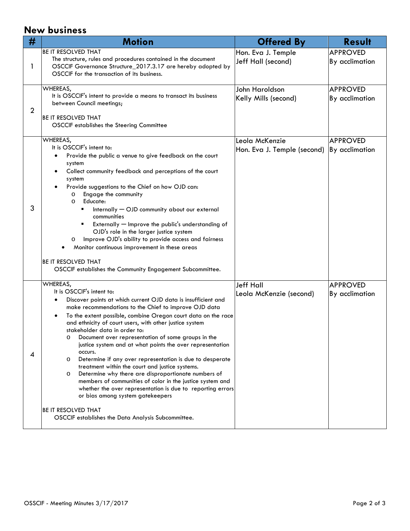## **New business**

| #              | <b>Motion</b>                                                                                                                                                                                                                                                                                                                                                                                                                                                                                                                                                                                                                                                                                                                                                                                                                                                                               | <b>Offered By</b>                             | <b>Result</b>                     |
|----------------|---------------------------------------------------------------------------------------------------------------------------------------------------------------------------------------------------------------------------------------------------------------------------------------------------------------------------------------------------------------------------------------------------------------------------------------------------------------------------------------------------------------------------------------------------------------------------------------------------------------------------------------------------------------------------------------------------------------------------------------------------------------------------------------------------------------------------------------------------------------------------------------------|-----------------------------------------------|-----------------------------------|
| $\mathbf{I}$   | <b>BE IT RESOLVED THAT</b><br>The structure, rules and procedures contained in the document<br>OSCCIF Governance Structure_2017.3.17 are hereby adopted by<br>OSCCIF for the transaction of its business.                                                                                                                                                                                                                                                                                                                                                                                                                                                                                                                                                                                                                                                                                   | Hon. Eva J. Temple<br>Jeff Hall (second)      | <b>APPROVED</b><br>By acclimation |
| $\overline{2}$ | WHEREAS,<br>It is OSCCIF's intent to provide a means to transact its business<br>between Council meetings;<br><b>BE IT RESOLVED THAT</b><br><b>OSCCIF</b> establishes the Steering Committee                                                                                                                                                                                                                                                                                                                                                                                                                                                                                                                                                                                                                                                                                                | John Haroldson<br>Kelly Mills (second)        | <b>APPROVED</b><br>By acclimation |
| 3              | WHEREAS,<br>It is OSCCIF's intent to:<br>Provide the public a venue to give feedback on the court<br>system<br>Collect community feedback and perceptions of the court<br>system<br>Provide suggestions to the Chief on how OJD can:<br>Engage the community<br>$\circ$<br>Educate:<br>$\circ$<br>Internally - OJD community about our external<br>٠<br>communities<br>Externally - Improve the public's understanding of<br>OJD's role in the larger justice system<br>Improve OJD's ability to provide access and fairness<br>O<br>Monitor continuous improvement in these areas<br><b>IBE IT RESOLVED THAT</b><br>OSCCIF establishes the Community Engagement Subcommittee.                                                                                                                                                                                                              | Leola McKenzie<br>Hon. Eva J. Temple (second) | <b>APPROVED</b><br>By acclimation |
| 4              | WHEREAS,<br>It is OSCCIF's intent to:<br>Discover points at which current OJD data is insufficient and<br>make recommendations to the Chief to improve OJD data<br>To the extent possible, combine Oregon court data on the race<br>and ethnicity of court users, with other justice system<br>stakeholder data in order to:<br>Document over representation of some groups in the<br>O<br>justice system and at what points the over representation<br>occurs.<br>Determine if any over representation is due to desperate<br>O<br>treatment within the court and justice systems.<br>Determine why there are disproportionate numbers of<br>O<br>members of communities of color in the justice system and<br>whether the over representation is due to reporting errors<br>or bias among system gatekeepers<br>BE IT RESOLVED THAT<br>OSCCIF establishes the Data Analysis Subcommittee. | <b>Jeff Hall</b><br>Leola McKenzie (second)   | <b>APPROVED</b><br>By acclimation |